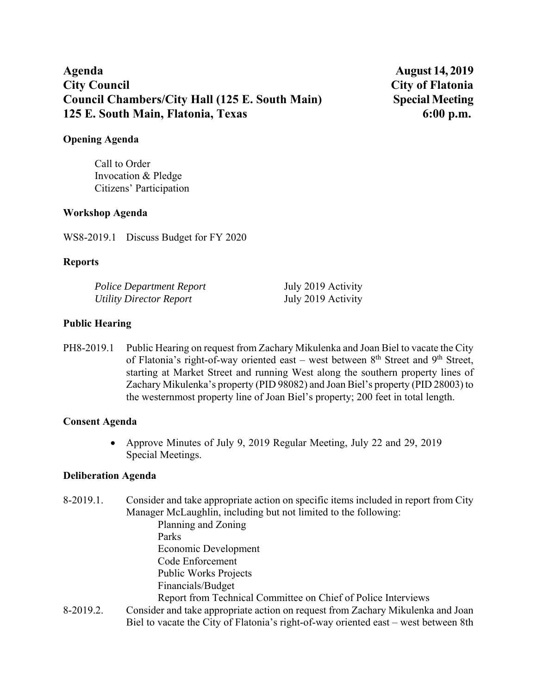# Agenda **August 14, 2019 City Council City of Flatonia Council Chambers/City Hall (125 E. South Main) Special Meeting 125 E. South Main, Flatonia, Texas 6:00 p.m.**

#### **Opening Agenda**

Call to Order Invocation & Pledge Citizens' Participation

## **Workshop Agenda**

WS8-2019.1 Discuss Budget for FY 2020

## **Reports**

| Police Department Report | July 2019 Activity |
|--------------------------|--------------------|
| Utility Director Report  | July 2019 Activity |

# **Public Hearing**

PH8-2019.1 Public Hearing on request from Zachary Mikulenka and Joan Biel to vacate the City of Flatonia's right-of-way oriented east – west between  $8<sup>th</sup>$  Street and  $9<sup>th</sup>$  Street, starting at Market Street and running West along the southern property lines of Zachary Mikulenka's property (PID 98082) and Joan Biel's property (PID 28003) to the westernmost property line of Joan Biel's property; 200 feet in total length.

### **Consent Agenda**

• Approve Minutes of July 9, 2019 Regular Meeting, July 22 and 29, 2019 Special Meetings.

# **Deliberation Agenda**

8-2019.1. Consider and take appropriate action on specific items included in report from City Manager McLaughlin, including but not limited to the following: Planning and Zoning Parks

Economic Development

- Code Enforcement
- Public Works Projects Financials/Budget
- Report from Technical Committee on Chief of Police Interviews
- 8-2019.2. Consider and take appropriate action on request from Zachary Mikulenka and Joan Biel to vacate the City of Flatonia's right-of-way oriented east – west between 8th